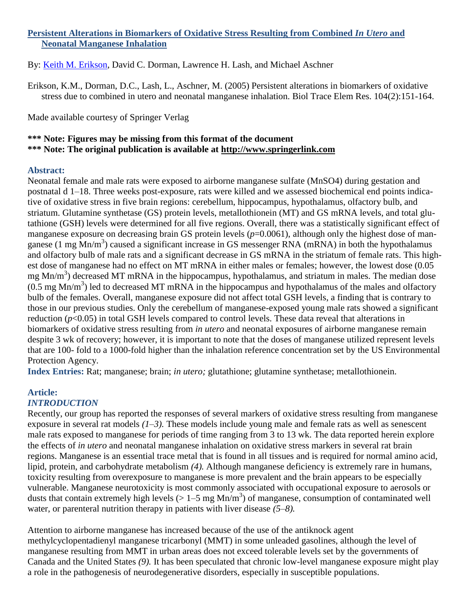# **Persistent Alterations in Biomarkers of Oxidative Stress Resulting from Combined** *In Utero* **and Neonatal Manganese Inhalation**

By: [Keith M. Erikson,](http://libres.uncg.edu/ir/uncg/clist.aspx?id=1296) David C. Dorman, Lawrence H. Lash, and Michael Aschner

Erikson, K.M., Dorman, D.C., Lash, L., Aschner, M. (2005) Persistent alterations in biomarkers of oxidative stress due to combined in utero and neonatal manganese inhalation. Biol Trace Elem Res. 104(2):151-164.

Made available courtesy of Springer Verlag

# **\*\*\* Note: Figures may be missing from this format of the document \*\*\* Note: The original publication is available at [http://www.springerlink.com](http://www.springerlink.com/)**

## **Abstract:**

Neonatal female and male rats were exposed to airborne manganese sulfate (MnSO4) during gestation and postnatal d 1–18. Three weeks post-exposure, rats were killed and we assessed biochemical end points indicative of oxidative stress in five brain regions: cerebellum, hippocampus, hypothalamus, olfactory bulb, and striatum. Glutamine synthetase (GS) protein levels, metallothionein (MT) and GS mRNA levels, and total glutathione (GSH) levels were determined for all five regions. Overall, there was a statistically significant effect of manganese exposure on decreasing brain GS protein levels ( $p=0.0061$ ), although only the highest dose of manganese (1 mg  $Mn/m<sup>3</sup>$ ) caused a significant increase in GS messenger RNA (mRNA) in both the hypothalamus and olfactory bulb of male rats and a significant decrease in GS mRNA in the striatum of female rats. This highest dose of manganese had no effect on MT mRNA in either males or females; however, the lowest dose (0.05 mg Mn/m<sup>3</sup>) decreased MT mRNA in the hippocampus, hypothalamus, and striatum in males. The median dose  $(0.5 \text{ mg Mn/m}^3)$  led to decreased MT mRNA in the hippocampus and hypothalamus of the males and olfactory bulb of the females. Overall, manganese exposure did not affect total GSH levels, a finding that is contrary to those in our previous studies. Only the cerebellum of manganese-exposed young male rats showed a significant reduction (*p*<0.05) in total GSH levels compared to control levels. These data reveal that alterations in biomarkers of oxidative stress resulting from *in utero* and neonatal exposures of airborne manganese remain despite 3 wk of recovery; however, it is important to note that the doses of manganese utilized represent levels that are 100- fold to a 1000-fold higher than the inhalation reference concentration set by the US Environmental Protection Agency.

**Index Entries:** Rat; manganese; brain; *in utero;* glutathione; glutamine synthetase; metallothionein.

# **Article:**

# *INTRODUCTION*

Recently, our group has reported the responses of several markers of oxidative stress resulting from manganese exposure in several rat models *(1–3).* These models include young male and female rats as well as senescent male rats exposed to manganese for periods of time ranging from 3 to 13 wk. The data reported herein explore the effects of *in utero* and neonatal manganese inhalation on oxidative stress markers in several rat brain regions. Manganese is an essential trace metal that is found in all tissues and is required for normal amino acid, lipid, protein, and carbohydrate metabolism *(4).* Although manganese deficiency is extremely rare in humans, toxicity resulting from overexposure to manganese is more prevalent and the brain appears to be especially vulnerable. Manganese neurotoxicity is most commonly associated with occupational exposure to aerosols or dusts that contain extremely high levels ( $> 1-5$  mg Mn/m<sup>3</sup>) of manganese, consumption of contaminated well water, or parenteral nutrition therapy in patients with liver disease *(5–8).*

Attention to airborne manganese has increased because of the use of the antiknock agent methylcyclopentadienyl manganese tricarbonyl (MMT) in some unleaded gasolines, although the level of manganese resulting from MMT in urban areas does not exceed tolerable levels set by the governments of Canada and the United States *(9).* It has been speculated that chronic low-level manganese exposure might play a role in the pathogenesis of neurodegenerative disorders, especially in susceptible populations.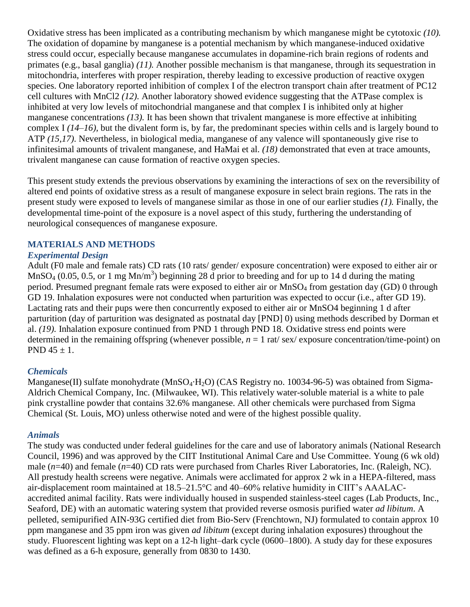Oxidative stress has been implicated as a contributing mechanism by which manganese might be cytotoxic *(10).* The oxidation of dopamine by manganese is a potential mechanism by which manganese-induced oxidative stress could occur, especially because manganese accumulates in dopamine-rich brain regions of rodents and primates (e.g., basal ganglia) *(11).* Another possible mechanism is that manganese, through its sequestration in mitochondria, interferes with proper respiration, thereby leading to excessive production of reactive oxygen species. One laboratory reported inhibition of complex I of the electron transport chain after treatment of PC12 cell cultures with MnCl2 *(12).* Another laboratory showed evidence suggesting that the ATPase complex is inhibited at very low levels of mitochondrial manganese and that complex I is inhibited only at higher manganese concentrations *(13).* It has been shown that trivalent manganese is more effective at inhibiting complex I *(14–16),* but the divalent form is, by far, the predominant species within cells and is largely bound to ATP *(15,17).* Nevertheless, in biological media, manganese of any valence will spontaneously give rise to infinitesimal amounts of trivalent manganese, and HaMai et al. *(18)* demonstrated that even at trace amounts, trivalent manganese can cause formation of reactive oxygen species.

This present study extends the previous observations by examining the interactions of sex on the reversibility of altered end points of oxidative stress as a result of manganese exposure in select brain regions. The rats in the present study were exposed to levels of manganese similar as those in one of our earlier studies *(1).* Finally, the developmental time-point of the exposure is a novel aspect of this study, furthering the understanding of neurological consequences of manganese exposure.

# **MATERIALS AND METHODS**

## *Experimental Design*

Adult (F0 male and female rats) CD rats (10 rats/ gender/ exposure concentration) were exposed to either air or MnSO<sub>4</sub> (0.05, 0.5, or 1 mg Mn/m<sup>3</sup>) beginning 28 d prior to breeding and for up to 14 d during the mating period. Presumed pregnant female rats were exposed to either air or MnSO<sup>4</sup> from gestation day (GD) 0 through GD 19. Inhalation exposures were not conducted when parturition was expected to occur (i.e., after GD 19). Lactating rats and their pups were then concurrently exposed to either air or MnSO4 beginning 1 d after parturition (day of parturition was designated as postnatal day [PND] 0) using methods described by Dorman et al. *(19).* Inhalation exposure continued from PND 1 through PND 18. Oxidative stress end points were determined in the remaining offspring (whenever possible,  $n = 1$  rat/ sex/ exposure concentration/time-point) on PND  $45 \pm 1$ .

#### *Chemicals*

Manganese(II) sulfate monohydrate (MnSO<sub>4</sub>·H<sub>2</sub>O) (CAS Registry no. 10034-96-5) was obtained from Sigma-Aldrich Chemical Company, Inc. (Milwaukee, WI). This relatively water-soluble material is a white to pale pink crystalline powder that contains 32.6% manganese. All other chemicals were purchased from Sigma Chemical (St. Louis, MO) unless otherwise noted and were of the highest possible quality.

#### *Animals*

The study was conducted under federal guidelines for the care and use of laboratory animals (National Research Council, 1996) and was approved by the CIIT Institutional Animal Care and Use Committee. Young (6 wk old) male (*n*=40) and female (*n*=40) CD rats were purchased from Charles River Laboratories, Inc. (Raleigh, NC). All prestudy health screens were negative. Animals were acclimated for approx 2 wk in a HEPA-filtered, mass air-displacement room maintained at 18.5–21.5°C and 40–60% relative humidity in CIIT's AAALACaccredited animal facility. Rats were individually housed in suspended stainless-steel cages (Lab Products, Inc., Seaford, DE) with an automatic watering system that provided reverse osmosis purified water *ad libitum*. A pelleted, semipurified AIN-93G certified diet from Bio-Serv (Frenchtown, NJ) formulated to contain approx 10 ppm manganese and 35 ppm iron was given *ad libitum* (except during inhalation exposures) throughout the study. Fluorescent lighting was kept on a 12-h light–dark cycle (0600–1800). A study day for these exposures was defined as a 6-h exposure, generally from 0830 to 1430.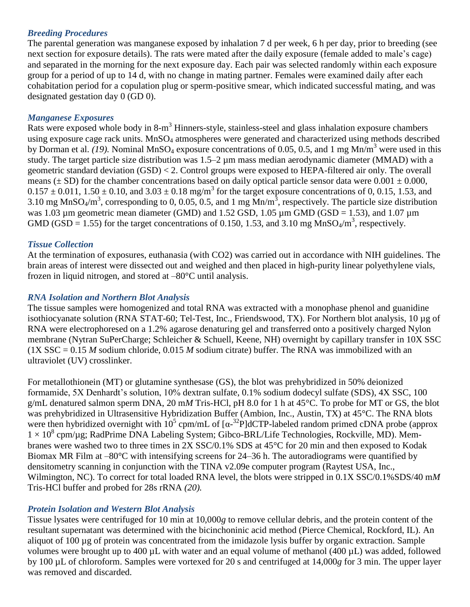# *Breeding Procedures*

The parental generation was manganese exposed by inhalation 7 d per week, 6 h per day, prior to breeding (see next section for exposure details). The rats were mated after the daily exposure (female added to male's cage) and separated in the morning for the next exposure day. Each pair was selected randomly within each exposure group for a period of up to 14 d, with no change in mating partner. Females were examined daily after each cohabitation period for a copulation plug or sperm-positive smear, which indicated successful mating, and was designated gestation day 0 (GD 0).

## *Manganese Exposures*

Rats were exposed whole body in 8-m<sup>3</sup> Hinners-style, stainless-steel and glass inhalation exposure chambers using exposure cage rack units. MnSO<sub>4</sub> atmospheres were generated and characterized using methods described by Dorman et al. *(19)*. Nominal MnSO<sub>4</sub> exposure concentrations of 0.05, 0.5, and 1 mg Mn/m<sup>3</sup> were used in this study. The target particle size distribution was 1.5–2  $\mu$ m mass median aerodynamic diameter (MMAD) with a geometric standard deviation (GSD) < 2. Control groups were exposed to HEPA-filtered air only. The overall means ( $\pm$  SD) for the chamber concentrations based on daily optical particle sensor data were 0.001  $\pm$  0.000,  $0.157 \pm 0.011$ ,  $1.50 \pm 0.10$ , and  $3.03 \pm 0.18$  mg/m<sup>3</sup> for the target exposure concentrations of 0, 0.15, 1.53, and 3.10 mg MnSO<sub>4</sub>/m<sup>3</sup>, corresponding to 0, 0.05, 0.5, and 1 mg Mn/m<sup>3</sup>, respectively. The particle size distribution was 1.03 µm geometric mean diameter (GMD) and 1.52 GSD, 1.05 µm GMD (GSD = 1.53), and 1.07 µm GMD (GSD = 1.55) for the target concentrations of 0.150, 1.53, and 3.10 mg MnSO<sub>4</sub>/m<sup>3</sup>, respectively.

## *Tissue Collection*

At the termination of exposures, euthanasia (with CO2) was carried out in accordance with NIH guidelines. The brain areas of interest were dissected out and weighed and then placed in high-purity linear polyethylene vials, frozen in liquid nitrogen, and stored at –80°C until analysis.

## *RNA Isolation and Northern Blot Analysis*

The tissue samples were homogenized and total RNA was extracted with a monophase phenol and guanidine isothiocyanate solution (RNA STAT-60; Tel-Test, Inc., Friendswood, TX). For Northern blot analysis, 10 µg of RNA were electrophoresed on a 1.2% agarose denaturing gel and transferred onto a positively charged Nylon membrane (Nytran SuPerCharge; Schleicher & Schuell, Keene, NH) overnight by capillary transfer in 10X SSC (1X SSC = 0.15 *M* sodium chloride, 0.015 *M* sodium citrate) buffer. The RNA was immobilized with an ultraviolet (UV) crosslinker.

For metallothionein (MT) or glutamine synthesase (GS), the blot was prehybridized in 50% deionized formamide, 5X Denhardt's solution, 10% dextran sulfate, 0.1% sodium dodecyl sulfate (SDS), 4X SSC, 100 g/mL denatured salmon sperm DNA, 20 m*M* Tris-HCl, pH 8.0 for 1 h at 45°C. To probe for MT or GS, the blot was prehybridized in Ultrasensitive Hybridization Buffer (Ambion, Inc., Austin, TX) at 45°C. The RNA blots were then hybridized overnight with  $10^5$  cpm/mL of  $\left[\alpha^{-32}P\right]$ dCTP-labeled random primed cDNA probe (approx 1 × 10<sup>8</sup> cpm/µg; RadPrime DNA Labeling System; Gibco-BRL/Life Technologies, Rockville, MD). Membranes were washed two to three times in 2X SSC/0.1% SDS at 45°C for 20 min and then exposed to Kodak Biomax MR Film at  $-80^{\circ}$ C with intensifying screens for 24–36 h. The autoradiograms were quantified by densitometry scanning in conjunction with the TINA v2.09e computer program (Raytest USA, Inc., Wilmington, NC). To correct for total loaded RNA level, the blots were stripped in 0.1X SSC/0.1%SDS/40 m*M* Tris-HCl buffer and probed for 28s rRNA *(20).*

# *Protein Isolation and Western Blot Analysis*

Tissue lysates were centrifuged for 10 min at 10,000*g* to remove cellular debris, and the protein content of the resultant supernatant was determined with the bicinchoninic acid method (Pierce Chemical, Rockford, IL). An aliquot of 100 µg of protein was concentrated from the imidazole lysis buffer by organic extraction. Sample volumes were brought up to 400 µL with water and an equal volume of methanol (400 µL) was added, followed by 100 µL of chloroform. Samples were vortexed for 20 s and centrifuged at 14,000*g* for 3 min. The upper layer was removed and discarded.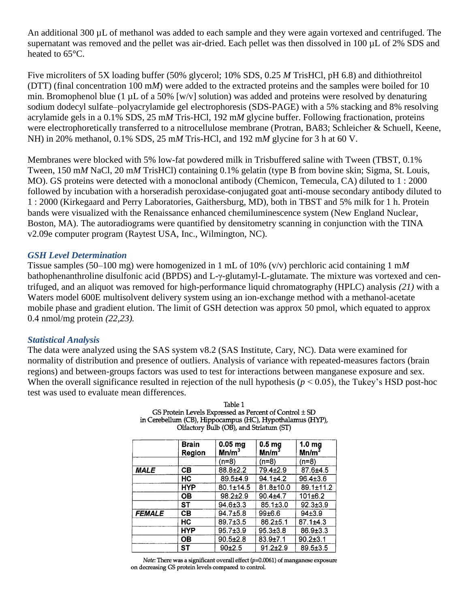An additional 300 µL of methanol was added to each sample and they were again vortexed and centrifuged. The supernatant was removed and the pellet was air-dried. Each pellet was then dissolved in 100 µL of 2% SDS and heated to 65°C.

Five microliters of 5X loading buffer (50% glycerol; 10% SDS, 0.25 *M* TrisHCl, pH 6.8) and dithiothreitol (DTT) (final concentration 100 m*M*) were added to the extracted proteins and the samples were boiled for 10 min. Bromophenol blue (1  $\mu$ L of a 50% [w/v] solution) was added and proteins were resolved by denaturing sodium dodecyl sulfate–polyacrylamide gel electrophoresis (SDS-PAGE) with a 5% stacking and 8% resolving acrylamide gels in a 0.1% SDS, 25 m*M* Tris-HCl, 192 m*M* glycine buffer. Following fractionation, proteins were electrophoretically transferred to a nitrocellulose membrane (Protran, BA83; Schleicher & Schuell, Keene, NH) in 20% methanol, 0.1% SDS, 25 m*M* Tris-HCl, and 192 m*M* glycine for 3 h at 60 V.

Membranes were blocked with 5% low-fat powdered milk in Trisbuffered saline with Tween (TBST, 0.1% Tween, 150 m*M* NaCl, 20 m*M* TrisHCl) containing 0.1% gelatin (type B from bovine skin; Sigma, St. Louis, MO). GS proteins were detected with a monoclonal antibody (Chemicon, Temecula, CA) diluted to 1 : 2000 followed by incubation with a horseradish peroxidase-conjugated goat anti-mouse secondary antibody diluted to 1 : 2000 (Kirkegaard and Perry Laboratories, Gaithersburg, MD), both in TBST and 5% milk for 1 h. Protein bands were visualized with the Renaissance enhanced chemiluminescence system (New England Nuclear, Boston, MA). The autoradiograms were quantified by densitometry scanning in conjunction with the TINA v2.09e computer program (Raytest USA, Inc., Wilmington, NC).

## *GSH Level Determination*

Tissue samples (50–100 mg) were homogenized in 1 mL of 10% (v/v) perchloric acid containing 1 m*M* bathophenanthroline disulfonic acid (BPDS) and L-γ-glutamyl-L-glutamate. The mixture was vortexed and centrifuged, and an aliquot was removed for high-performance liquid chromatography (HPLC) analysis *(21)* with a Waters model 600E multisolvent delivery system using an ion-exchange method with a methanol-acetate mobile phase and gradient elution. The limit of GSH detection was approx 50 pmol, which equated to approx 0.4 nmol/mg protein *(22,23).*

#### *Statistical Analysis*

The data were analyzed using the SAS system v8.2 (SAS Institute, Cary, NC). Data were examined for normality of distribution and presence of outliers. Analysis of variance with repeated-measures factors (brain regions) and between-groups factors was used to test for interactions between manganese exposure and sex. When the overall significance resulted in rejection of the null hypothesis  $(p < 0.05)$ , the Tukey's HSD post-hoc test was used to evaluate mean differences.

|               | <b>Brain</b><br>Region | $0.05$ mg<br>Mn/m <sup>3</sup> | 0.5 <sub>mg</sub><br>Mn/m <sup>3</sup> | 1.0 <sub>mg</sub><br>Mn/m <sup>3</sup> |
|---------------|------------------------|--------------------------------|----------------------------------------|----------------------------------------|
|               |                        | $(n=8)$                        | $(n=8)$                                | $(n=8)$                                |
| <b>MALE</b>   | CВ                     | $88.8 \pm 2.2$                 | 79.4±2.9                               | 87.6±4.5                               |
|               | НC                     | $89.5 + 4.9$                   | $94.1 \pm 4.2$                         | $96.4 \pm 3.6$                         |
|               | <b>HYP</b>             | $80.1 \pm 14.5$                | 81.8±10.0                              | $89.1 \pm 11.2$                        |
|               | OВ                     | $98.2 \pm 2.9$                 | $90.4 + 4.7$                           | 101±6.2                                |
|               | SТ                     | $94.6 \pm 3.3$                 | $85.1 \pm 3.0$                         | $92.3 \pm 3.9$                         |
| <b>FEMALE</b> | CВ                     | $94.7 + 5.8$                   | 99±6.6                                 | $94+3.9$                               |
|               | HC                     | $89.7{\pm}3.5$                 | $86.2 \pm 5.1$                         | $87.1 \pm 4.3$                         |
|               | <b>HYP</b>             | $95.7 \pm 3.9$                 | $95.3 \pm 3.8$                         | $86.9{\pm}3.3$                         |
|               | OВ                     | $90.5 \pm 2.8$                 | $83.9{\pm}7.1$                         | $90.2 \pm 3.1$                         |
|               | ST                     | $90+2.5$                       | $91.2 \pm 2.9$                         | $89.5 \pm 3.5$                         |

Table 1 GS Protein Levels Expressed as Percent of Control  $\pm$  SD in Cerebellum (CB), Hippocampus (HC), Hypothalamus (HYP), Olfactory Bulb (OB), and Striatum (ST)

Note: There was a significant overall effect ( $p=0.0061$ ) of manganese exposure on decreasing GS protein levels compared to control.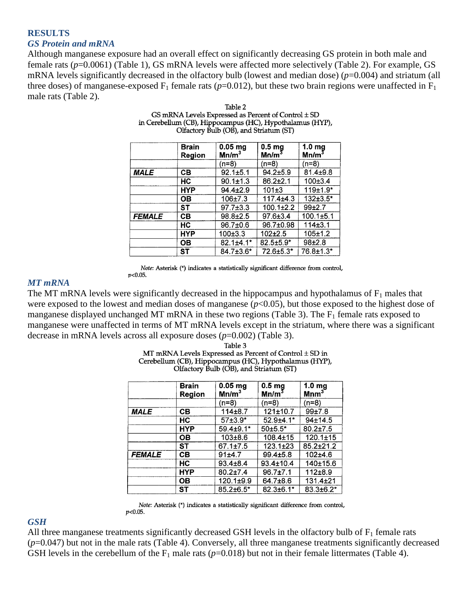## **RESULTS** *GS Protein and mRNA*

Although manganese exposure had an overall effect on significantly decreasing GS protein in both male and female rats (*p*=0.0061) (Table 1), GS mRNA levels were affected more selectively (Table 2). For example, GS mRNA levels significantly decreased in the olfactory bulb (lowest and median dose) (*p*=0.004) and striatum (all three doses) of manganese-exposed  $F_1$  female rats ( $p=0.012$ ), but these two brain regions were unaffected in  $F_1$ male rats (Table 2).

|               | <b>Brain</b><br>Region | $0.05$ mg<br>Mn/m <sup>3</sup> | 0.5 <sub>mg</sub><br>Mn/m $^3$ | 1.0 <sub>mg</sub><br>Mn/m <sup>3</sup> |
|---------------|------------------------|--------------------------------|--------------------------------|----------------------------------------|
|               |                        | $(n=8)$                        | $(n=8)$                        | (n=8)                                  |
| <b>MALE</b>   | CВ                     | $92.1 \pm 5.1$                 | $94.2 \pm 5.9$                 | $81.4 \pm 9.8$                         |
|               | HС                     | $90.1 \pm 1.3$                 | $86.2 \pm 2.1$                 | 100±3.4                                |
|               | <b>HYP</b>             | $94.4 \pm 2.9$                 | $101 + 3$                      | $119+1.9*$                             |
|               | OΒ                     | $106 + 7.3$                    | $117.4 + 4.3$                  | $132\pm3.5^*$                          |
|               | <b>ST</b>              | $97.7 \pm 3.3$                 | $100.1 \pm 2.2$                | $99+2.7$                               |
| <b>FEMALE</b> | CВ                     | $98.8 \pm 2.5$                 | $97.6 \pm 3.4$                 | $100.1 \pm 5.1$                        |
|               | HC                     | 96.7±0.6                       | 96.7±0.98                      | 114±3.1                                |
|               | <b>HYP</b>             | 100±3.3                        | $102 + 2.5$                    | $105 + 1.2$                            |
|               | ОВ                     | $82.1 \pm 4.1*$                | $82.5 \pm 5.9$ *               | $98+2.8$                               |
|               | ST                     | 84.7±3.6*                      | $72.6 \pm 5.3*$                | 76.8±1.3*                              |

Table 2 GS mRNA Levels Expressed as Percent of Control  $\pm$  SD in Cerebellum (CB), Hippocampus (HC), Hypothalamus (HYP), Olfactory Bulb (OB), and Striatum (ST)

Note: Asterisk (\*) indicates a statistically significant difference from control,  $p<0.05$ .

#### *MT mRNA*

The MT mRNA levels were significantly decreased in the hippocampus and hypothalamus of  $F_1$  males that were exposed to the lowest and median doses of manganese (*p*<0.05), but those exposed to the highest dose of manganese displayed unchanged MT mRNA in these two regions (Table 3). The  $F_1$  female rats exposed to manganese were unaffected in terms of MT mRNA levels except in the striatum, where there was a significant decrease in mRNA levels across all exposure doses (*p*=0.002) (Table 3).

> Table 3 MT mRNA Levels Expressed as Percent of Control  $\pm$  SD in Cerebellum (CB), Hippocampus (HC), Hypothalamus (HYP), Olfactory Bulb (OB), and Striatum (ST)

|               | <b>Brain</b><br>Region | $0.05$ mg<br>Mn/m <sup>3</sup> | 0.5 <sub>mg</sub><br>Mn/m <sup>3</sup> | 1.0 <sub>mg</sub><br>$M$ nm $^3$ |
|---------------|------------------------|--------------------------------|----------------------------------------|----------------------------------|
|               |                        | $(n=8)$                        | $(n=8)$                                | $(n=8)$                          |
| <b>MALE</b>   | CВ                     | 114±8.7                        | 121±10.7                               | 99±7.8                           |
|               | HС                     | $57±3.9*$                      | 52.9±4.1*                              | 94±14.5                          |
|               | <b>HYP</b>             | $59.4 + 9.1*$                  | $50+5.5*$                              | $80.2{\pm}7.5$                   |
|               | OВ                     | $103 + 8.6$                    | $108.4 \pm 15$                         | $120.1 \pm 15$                   |
|               | ST                     | $67.1 \pm 7.5$                 | $123.1 \pm 23$                         | $85.2 \pm 21.2$                  |
| <b>FEMALE</b> | CВ                     | 91±4.7                         | $99.4 \pm 5.8$                         | 102±4.6                          |
|               | HC                     | $93.4 \pm 8.4$                 | 93.4±10.4                              | 140±15.6                         |
|               | <b>HYP</b>             | $80.2 \pm 7.4$                 | $96.7 + 7.1$                           | 112±8.9                          |
|               | OВ                     | 120.1±9.9                      | 64.7±8.6                               | 131.4±21                         |
|               | ST                     | $85.2 \pm 6.5^*$               | $82.3 \pm 6.1*$                        | $83.3 + 6.2*$                    |

Note: Asterisk (\*) indicates a statistically significant difference from control,  $p<0.05$ .

#### *GSH*

All three manganese treatments significantly decreased GSH levels in the olfactory bulb of  $F_1$  female rats (*p*=0.047) but not in the male rats (Table 4). Conversely, all three manganese treatments significantly decreased GSH levels in the cerebellum of the  $F_1$  male rats ( $p=0.018$ ) but not in their female littermates (Table 4).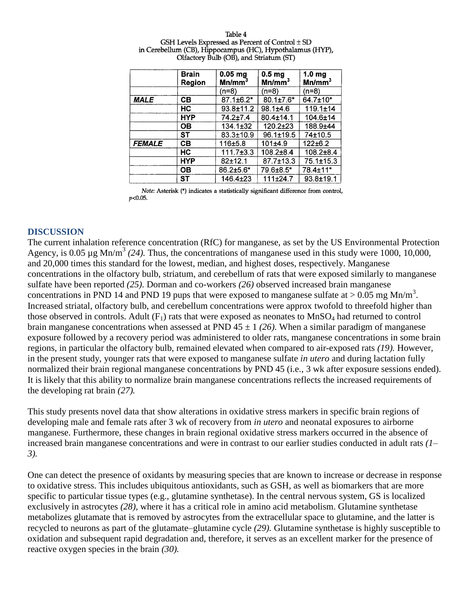|               | <b>Brain</b><br>Region | $0.05$ mg<br>Mn/mm <sup>3</sup> | 0.5 <sub>mg</sub><br>Mn/mm <sup>3</sup> | 1.0 <sub>mg</sub><br>Mn/mm <sup>3</sup> |
|---------------|------------------------|---------------------------------|-----------------------------------------|-----------------------------------------|
|               |                        | (n=8)                           | $(n=8)$                                 | $(n=8)$                                 |
| <b>MALE</b>   | CВ                     | $87.1 \pm 6.2^*$                | 80.1±7.6*                               | 64.7±10*                                |
|               | HC                     | $93.8 \pm 11.2$                 | $98.1 \pm 4.6$                          | $119.1 \pm 14$                          |
|               | <b>HYP</b>             | 74.2±7.4                        | $80.4 \pm 14.1$                         | $104.6 \pm 14$                          |
|               | OВ                     | $134.1 \pm 32$                  | 120.2±23                                | 188.9±44                                |
|               | SТ                     | $83.3 \pm 10.9$                 | $96.1 \pm 19.5$                         | 74±10.5                                 |
| <b>FEMALE</b> | CВ                     | 116±5.8                         | 101±4.9                                 | $122 \pm 6.2$                           |
|               | НC                     | $111.7\pm3.3$                   | $108.2{\pm}8.4$                         | $108.2 \pm 8.4$                         |
|               | HYP                    | $82 + 12.1$                     | $87.7 \pm 13.3$                         | $75.1 \pm 15.3$                         |
|               | OВ                     | $86.2{\pm}5.6*$                 | 79.6±8.5*                               | 78.4±11*                                |
|               | SТ                     | 146.4±23                        | 111±24.7                                | $93.8 + 19.1$                           |

Table 4 GSH Levels Expressed as Percent of Control  $\pm$  SD in Cerebellum (CB), Hippocampus (HC), Hypothalamus (HYP), Olfactory Bulb (OB), and Striatum (ST)

Note: Asterisk (\*) indicates a statistically significant difference from control,  $p<0.05$ .

#### **DISCUSSION**

The current inhalation reference concentration (RfC) for manganese, as set by the US Environmental Protection Agency, is  $0.05 \mu g \text{Mn/m}^3$  (24). Thus, the concentrations of manganese used in this study were 1000, 10,000, and 20,000 times this standard for the lowest, median, and highest doses, respectively. Manganese concentrations in the olfactory bulb, striatum, and cerebellum of rats that were exposed similarly to manganese sulfate have been reported *(25).* Dorman and co-workers *(26)* observed increased brain manganese concentrations in PND 14 and PND 19 pups that were exposed to manganese sulfate at  $> 0.05$  mg Mn/m<sup>3</sup>. Increased striatal, olfactory bulb, and cerebellum concentrations were approx twofold to threefold higher than those observed in controls. Adult  $(F_1)$  rats that were exposed as neonates to MnSO<sub>4</sub> had returned to control brain manganese concentrations when assessed at PND  $45 \pm 1$  (26). When a similar paradigm of manganese exposure followed by a recovery period was administered to older rats, manganese concentrations in some brain regions, in particular the olfactory bulb, remained elevated when compared to air-exposed rats *(19).* However, in the present study, younger rats that were exposed to manganese sulfate *in utero* and during lactation fully normalized their brain regional manganese concentrations by PND 45 (i.e., 3 wk after exposure sessions ended). It is likely that this ability to normalize brain manganese concentrations reflects the increased requirements of the developing rat brain *(27).*

This study presents novel data that show alterations in oxidative stress markers in specific brain regions of developing male and female rats after 3 wk of recovery from *in utero* and neonatal exposures to airborne manganese. Furthermore, these changes in brain regional oxidative stress markers occurred in the absence of increased brain manganese concentrations and were in contrast to our earlier studies conducted in adult rats *(1– 3).*

One can detect the presence of oxidants by measuring species that are known to increase or decrease in response to oxidative stress. This includes ubiquitous antioxidants, such as GSH, as well as biomarkers that are more specific to particular tissue types (e.g., glutamine synthetase). In the central nervous system, GS is localized exclusively in astrocytes *(28),* where it has a critical role in amino acid metabolism. Glutamine synthetase metabolizes glutamate that is removed by astrocytes from the extracellular space to glutamine, and the latter is recycled to neurons as part of the glutamate–glutamine cycle *(29).* Glutamine synthetase is highly susceptible to oxidation and subsequent rapid degradation and, therefore, it serves as an excellent marker for the presence of reactive oxygen species in the brain *(30).*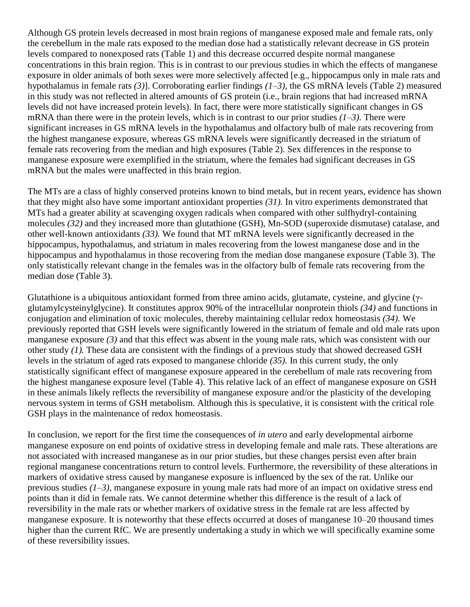Although GS protein levels decreased in most brain regions of manganese exposed male and female rats, only the cerebellum in the male rats exposed to the median dose had a statistically relevant decrease in GS protein levels compared to nonexposed rats (Table 1) and this decrease occurred despite normal manganese concentrations in this brain region. This is in contrast to our previous studies in which the effects of manganese exposure in older animals of both sexes were more selectively affected [e.g., hippocampus only in male rats and hypothalamus in female rats *(3)*]. Corroborating earlier findings *(1–3),* the GS mRNA levels (Table 2) measured in this study was not reflected in altered amounts of GS protein (i.e., brain regions that had increased mRNA levels did not have increased protein levels). In fact, there were more statistically significant changes in GS mRNA than there were in the protein levels, which is in contrast to our prior studies *(1–3).* There were significant increases in GS mRNA levels in the hypothalamus and olfactory bulb of male rats recovering from the highest manganese exposure, whereas GS mRNA levels were significantly decreased in the striatum of female rats recovering from the median and high exposures (Table 2). Sex differences in the response to manganese exposure were exemplified in the striatum, where the females had significant decreases in GS mRNA but the males were unaffected in this brain region.

The MTs are a class of highly conserved proteins known to bind metals, but in recent years, evidence has shown that they might also have some important antioxidant properties *(31).* In vitro experiments demonstrated that MTs had a greater ability at scavenging oxygen radicals when compared with other sulfhydryl-containing molecules *(32)* and they increased more than glutathione (GSH), Mn-SOD (superoxide dismutase) catalase, and other well-known antioxidants *(33).* We found that MT mRNA levels were significantly decreased in the hippocampus, hypothalamus, and striatum in males recovering from the lowest manganese dose and in the hippocampus and hypothalamus in those recovering from the median dose manganese exposure (Table 3). The only statistically relevant change in the females was in the olfactory bulb of female rats recovering from the median dose (Table 3).

Glutathione is a ubiquitous antioxidant formed from three amino acids, glutamate, cysteine, and glycine (γglutamylcysteinylglycine). It constitutes approx 90% of the intracellular nonprotein thiols *(34)* and functions in conjugation and elimination of toxic molecules, thereby maintaining cellular redox homeostasis *(34).* We previously reported that GSH levels were significantly lowered in the striatum of female and old male rats upon manganese exposure *(3)* and that this effect was absent in the young male rats, which was consistent with our other study *(1).* These data are consistent with the findings of a previous study that showed decreased GSH levels in the striatum of aged rats exposed to manganese chloride *(35).* In this current study, the only statistically significant effect of manganese exposure appeared in the cerebellum of male rats recovering from the highest manganese exposure level (Table 4). This relative lack of an effect of manganese exposure on GSH in these animals likely reflects the reversibility of manganese exposure and/or the plasticity of the developing nervous system in terms of GSH metabolism. Although this is speculative, it is consistent with the critical role GSH plays in the maintenance of redox homeostasis.

In conclusion, we report for the first time the consequences of *in utero* and early developmental airborne manganese exposure on end points of oxidative stress in developing female and male rats. These alterations are not associated with increased manganese as in our prior studies, but these changes persist even after brain regional manganese concentrations return to control levels. Furthermore, the reversibility of these alterations in markers of oxidative stress caused by manganese exposure is influenced by the sex of the rat. Unlike our previous studies *(1–3),* manganese exposure in young male rats had more of an impact on oxidative stress end points than it did in female rats. We cannot determine whether this difference is the result of a lack of reversibility in the male rats or whether markers of oxidative stress in the female rat are less affected by manganese exposure. It is noteworthy that these effects occurred at doses of manganese 10–20 thousand times higher than the current RfC. We are presently undertaking a study in which we will specifically examine some of these reversibility issues.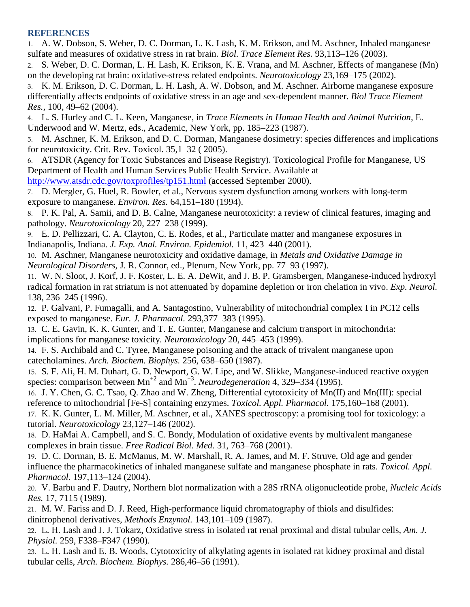#### **REFERENCES**

1. A. W. Dobson, S. Weber, D. C. Dorman, L. K. Lash, K. M. Erikson, and M. Aschner, Inhaled manganese sulfate and measures of oxidative stress in rat brain. *Biol. Trace Element Res.* 93,113–126 (2003).

2. S. Weber, D. C. Dorman, L. H. Lash, K. Erikson, K. E. Vrana, and M. Aschner, Effects of manganese (Mn) on the developing rat brain: oxidative-stress related endpoints. *Neurotoxicology* 23,169–175 (2002).

3. K. M. Erikson, D. C. Dorman, L. H. Lash, A. W. Dobson, and M. Aschner. Airborne manganese exposure differentially affects endpoints of oxidative stress in an age and sex-dependent manner. *Biol Trace Element Res.,* 100, 49–62 (2004).

4. L. S. Hurley and C. L. Keen, Manganese, in *Trace Elements in Human Health and Animal Nutrition,* E. Underwood and W. Mertz, eds., Academic, New York, pp. 185–223 (1987).

5. M. Aschner, K. M. Erikson, and D. C. Dorman, Manganese dosimetry: species differences and implications for neurotoxicity. Crit. Rev. Toxicol. 35,1–32 ( 2005).

6. ATSDR (Agency for Toxic Substances and Disease Registry). Toxicological Profile for Manganese, US Department of Health and Human Services Public Health Service. Available at <http://www.atsdr.cdc.gov/toxprofiles/tp151.html> (accessed September 2000).

7. D. Mergler, G. Huel, R. Bowler, et al., Nervous system dysfunction among workers with long-term exposure to manganese. *Environ. Res.* 64,151–180 (1994).

8. P. K. Pal, A. Samii, and D. B. Calne, Manganese neurotoxicity: a review of clinical features, imaging and pathology. *Neurotoxicology* 20, 227–238 (1999).

9. E. D. Pellizzari, C. A. Clayton, C. E. Rodes, et al., Particulate matter and manganese exposures in Indianapolis, Indiana. *J. Exp. Anal. Environ. Epidemiol.* 11, 423–440 (2001).

10. M. Aschner, Manganese neurotoxicity and oxidative damage, in *Metals and Oxidative Damage in Neurological Disorders,* J. R. Connor, ed., Plenum, New York, pp. 77–93 (1997).

11. W. N. Sloot, J. Korf, J. F. Koster, L. E. A. DeWit, and J. B. P. Gramsbergen, Manganese-induced hydroxyl radical formation in rat striatum is not attenuated by dopamine depletion or iron chelation in vivo. *Exp. Neurol.* 138, 236–245 (1996).

12. P. Galvani, P. Fumagalli, and A. Santagostino, Vulnerability of mitochondrial complex I in PC12 cells exposed to manganese. *Eur. J. Pharmacol.* 293,377–383 (1995).

13. C. E. Gavin, K. K. Gunter, and T. E. Gunter, Manganese and calcium transport in mitochondria: implications for manganese toxicity. *Neurotoxicology* 20, 445–453 (1999).

14. F. S. Archibald and C. Tyree, Manganese poisoning and the attack of trivalent manganese upon catecholamines. *Arch. Biochem. Biophys.* 256, 638–650 (1987).

15. S. F. Ali, H. M. Duhart, G. D. Newport, G. W. Lipe, and W. Slikke, Manganese-induced reactive oxygen species: comparison between Mn<sup>+2</sup> and Mn<sup>+3</sup>. *Neurodegeneration* 4, 329–334 (1995).

16. J. Y. Chen, G. C. Tsao, Q. Zhao and W. Zheng, Differential cytotoxicity of Mn(II) and Mn(III): special reference to mitochondrial [Fe-S] containing enzymes. *Toxicol. Appl. Pharmacol.* 175,160–168 (2001). 17. K. K. Gunter, L. M. Miller, M. Aschner, et al., XANES spectroscopy: a promising tool for toxicology: a

tutorial. *Neurotoxicology* 23,127–146 (2002).

18. D. HaMai A. Campbell, and S. C. Bondy, Modulation of oxidative events by multivalent manganese complexes in brain tissue. *Free Radical Biol. Med.* 31, 763–768 (2001).

19. D. C. Dorman, B. E. McManus, M. W. Marshall, R. A. James, and M. F. Struve, Old age and gender influence the pharmacokinetics of inhaled manganese sulfate and manganese phosphate in rats. *Toxicol. Appl. Pharmacol.* 197,113–124 (2004).

20. V. Barbu and F. Dautry, Northern blot normalization with a 28S rRNA oligonucleotide probe, *Nucleic Acids Res.* 17, 7115 (1989).

21. M. W. Fariss and D. J. Reed, High-performance liquid chromatography of thiols and disulfides: dinitrophenol derivatives, *Methods Enzymol.* 143,101–109 (1987).

22. L. H. Lash and J. J. Tokarz, Oxidative stress in isolated rat renal proximal and distal tubular cells, *Am. J. Physiol.* 259, F338–F347 (1990).

23. L. H. Lash and E. B. Woods, Cytotoxicity of alkylating agents in isolated rat kidney proximal and distal tubular cells, *Arch. Biochem. Biophys.* 286,46–56 (1991).